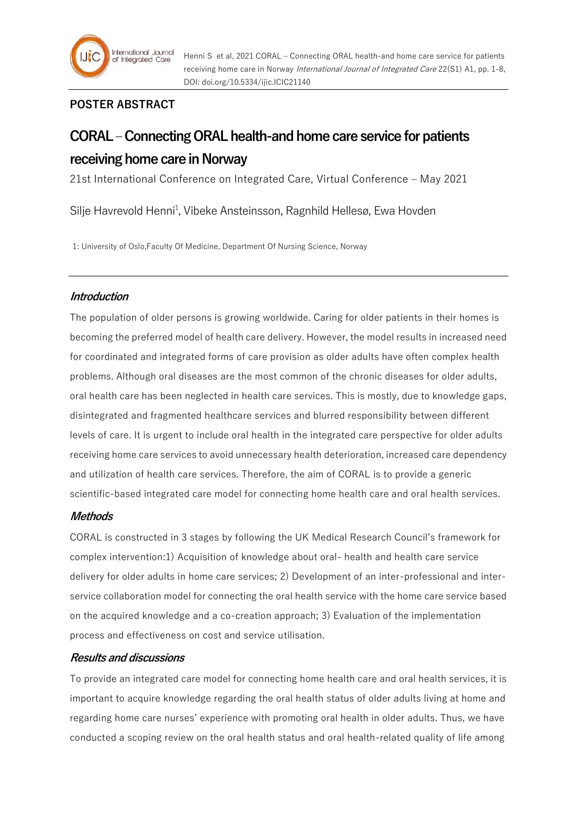

# **POSTER ABSTRACT**

# **CORAL – Connecting ORAL health-and home care service for patients receiving home care in Norway**

21st International Conference on Integrated Care, Virtual Conference – May 2021

Silje Havrevold Henni<sup>1</sup>, Vibeke Ansteinsson, Ragnhild Hellesø, Ewa Hovden

1: University of Oslo,Faculty Of Medicine, Department Of Nursing Science, Norway

## **Introduction**

The population of older persons is growing worldwide. Caring for older patients in their homes is becoming the preferred model of health care delivery. However, the model results in increased need for coordinated and integrated forms of care provision as older adults have often complex health problems. Although oral diseases are the most common of the chronic diseases for older adults, oral health care has been neglected in health care services. This is mostly, due to knowledge gaps, disintegrated and fragmented healthcare services and blurred responsibility between different levels of care. It is urgent to include oral health in the integrated care perspective for older adults receiving home care services to avoid unnecessary health deterioration, increased care dependency and utilization of health care services. Therefore, the aim of CORAL is to provide a generic scientific-based integrated care model for connecting home health care and oral health services.

## **Methods**

CORAL is constructed in 3 stages by following the UK Medical Research Council's framework for complex intervention:1) Acquisition of knowledge about oral- health and health care service delivery for older adults in home care services; 2) Development of an inter-professional and interservice collaboration model for connecting the oral health service with the home care service based on the acquired knowledge and a co-creation approach; 3) Evaluation of the implementation process and effectiveness on cost and service utilisation.

## **Results and discussions**

To provide an integrated care model for connecting home health care and oral health services, it is important to acquire knowledge regarding the oral health status of older adults living at home and regarding home care nurses' experience with promoting oral health in older adults. Thus, we have conducted a scoping review on the oral health status and oral health-related quality of life among